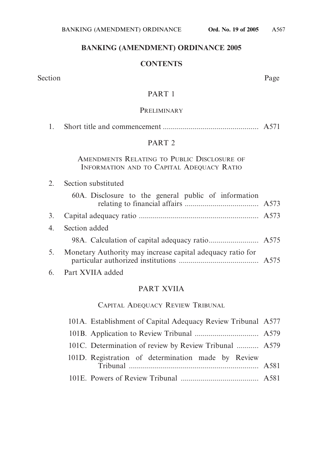# **BANKING (AMENDMENT) ORDINANCE 2005**

# **CONTENTS**

Section Page

## PART 1

### **PRELIMINARY**

|--|--|--|--|--|

# PART 2

# AMENDMENTS RELATING TO PUBLIC DISCLOSURE OF INFORMATION AND TO CAPITAL ADEQUACY RATIO

| 2. | Section substituted |
|----|---------------------|
|    |                     |

|    | 60A. Disclosure to the general public of information       |  |
|----|------------------------------------------------------------|--|
|    |                                                            |  |
|    | 4. Section added                                           |  |
|    |                                                            |  |
| 5. | Monetary Authority may increase capital adequacy ratio for |  |

6. Part XVIIA added

# PART XVIIA

# CAPITAL ADEQUACY REVIEW TRIBUNAL

| 101A. Establishment of Capital Adequacy Review Tribunal A577 |  |
|--------------------------------------------------------------|--|
|                                                              |  |
| 101C. Determination of review by Review Tribunal  A579       |  |
| 101D. Registration of determination made by Review           |  |
|                                                              |  |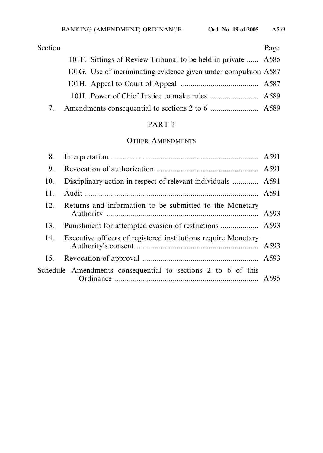| Section |                                                                 | Page |
|---------|-----------------------------------------------------------------|------|
|         | 101F. Sittings of Review Tribunal to be held in private  A585   |      |
|         | 101G. Use of incriminating evidence given under compulsion A587 |      |
|         |                                                                 |      |
|         |                                                                 |      |
|         |                                                                 |      |

# PART 3

# OTHER AMENDMENTS

| 8.  |                                                                |  |
|-----|----------------------------------------------------------------|--|
| 9.  |                                                                |  |
| 10. | Disciplinary action in respect of relevant individuals  A591   |  |
| 11. |                                                                |  |
| 12. | Returns and information to be submitted to the Monetary        |  |
| 13. |                                                                |  |
| 14. | Executive officers of registered institutions require Monetary |  |
|     |                                                                |  |
|     | Schedule Amendments consequential to sections 2 to 6 of this   |  |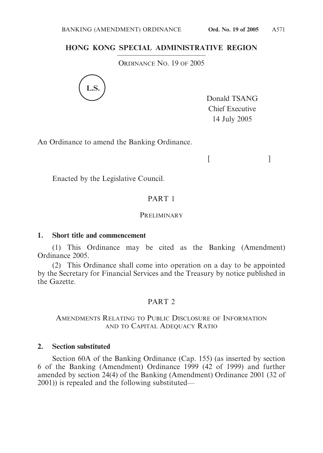## **HONG KONG SPECIAL ADMINISTRATIVE REGION**

ORDINANCE NO. 19 OF 2005



Donald TSANG Chief Executive 14 July 2005

 $[$ 

An Ordinance to amend the Banking Ordinance.

Enacted by the Legislative Council.

# PART 1

#### **PRELIMINARY**

### **1. Short title and commencement**

(1) This Ordinance may be cited as the Banking (Amendment) Ordinance 2005.

(2) This Ordinance shall come into operation on a day to be appointed by the Secretary for Financial Services and the Treasury by notice published in the Gazette.

# PART 2

## AMENDMENTS RELATING TO PUBLIC DISCLOSURE OF INFORMATION AND TO CAPITAL ADEQUACY RATIO

### **2. Section substituted**

Section 60A of the Banking Ordinance (Cap. 155) (as inserted by section 6 of the Banking (Amendment) Ordinance 1999 (42 of 1999) and further amended by section 24(4) of the Banking (Amendment) Ordinance 2001 (32 of 2001)) is repealed and the following substituted—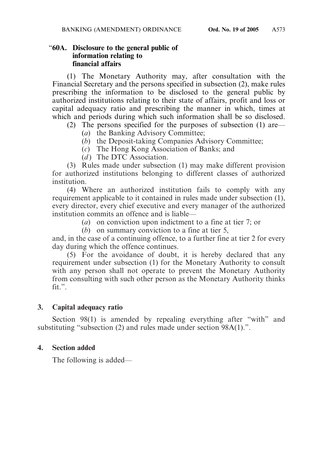### "**60A. Disclosure to the general public of information relating to financial affairs**

(1) The Monetary Authority may, after consultation with the Financial Secretary and the persons specified in subsection (2), make rules prescribing the information to be disclosed to the general public by authorized institutions relating to their state of affairs, profit and loss or capital adequacy ratio and prescribing the manner in which, times at which and periods during which such information shall be so disclosed.

- (2) The persons specified for the purposes of subsection (1) are—
	- (*a*) the Banking Advisory Committee;
	- (*b*) the Deposit-taking Companies Advisory Committee;
	- (*c*) The Hong Kong Association of Banks; and
	- (*d*) The DTC Association.

(3) Rules made under subsection (1) may make different provision for authorized institutions belonging to different classes of authorized institution.

(4) Where an authorized institution fails to comply with any requirement applicable to it contained in rules made under subsection (1), every director, every chief executive and every manager of the authorized institution commits an offence and is liable—

(*a*) on conviction upon indictment to a fine at tier 7; or

(*b*) on summary conviction to a fine at tier 5,

and, in the case of a continuing offence, to a further fine at tier 2 for every day during which the offence continues.

(5) For the avoidance of doubt, it is hereby declared that any requirement under subsection (1) for the Monetary Authority to consult with any person shall not operate to prevent the Monetary Authority from consulting with such other person as the Monetary Authority thinks fit.".

# **3. Capital adequacy ratio**

Section 98(1) is amended by repealing everything after "with" and substituting "subsection (2) and rules made under section 98A(1).".

# **4. Section added**

The following is added—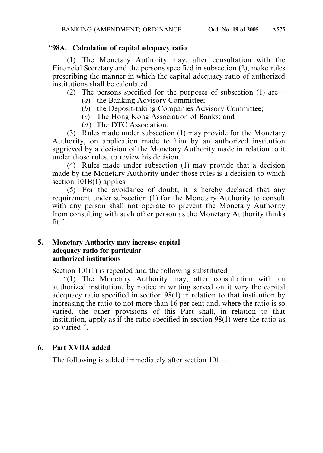# "**98A. Calculation of capital adequacy ratio**

(1) The Monetary Authority may, after consultation with the Financial Secretary and the persons specified in subsection (2), make rules prescribing the manner in which the capital adequacy ratio of authorized institutions shall be calculated.

(2) The persons specified for the purposes of subsection (1) are—

- (*a*) the Banking Advisory Committee;
- (*b*) the Deposit-taking Companies Advisory Committee;
- (*c*) The Hong Kong Association of Banks; and
- (*d*) The DTC Association.

(3) Rules made under subsection (1) may provide for the Monetary Authority, on application made to him by an authorized institution aggrieved by a decision of the Monetary Authority made in relation to it under those rules, to review his decision.

(4) Rules made under subsection (1) may provide that a decision made by the Monetary Authority under those rules is a decision to which section 101B(1) applies.

(5) For the avoidance of doubt, it is hereby declared that any requirement under subsection (1) for the Monetary Authority to consult with any person shall not operate to prevent the Monetary Authority from consulting with such other person as the Monetary Authority thinks fit.".

# **5. Monetary Authority may increase capital adequacy ratio for particular authorized institutions**

Section 101(1) is repealed and the following substituted—

"(1) The Monetary Authority may, after consultation with an authorized institution, by notice in writing served on it vary the capital adequacy ratio specified in section 98(1) in relation to that institution by increasing the ratio to not more than 16 per cent and, where the ratio is so varied, the other provisions of this Part shall, in relation to that institution, apply as if the ratio specified in section 98(1) were the ratio as so varied.".

# **6. Part XVIIA added**

The following is added immediately after section 101—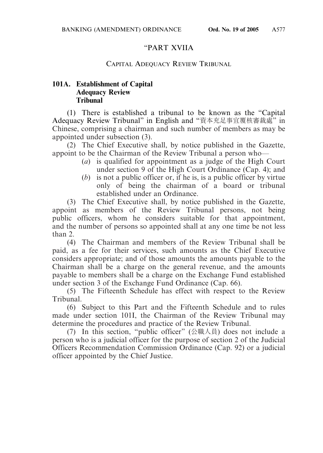# "PART XVIIA

# CAPITAL ADEQUACY REVIEW TRIBUNAL

# **101A. Establishment of Capital Adequacy Review Tribunal**

(1) There is established a tribunal to be known as the "Capital Adequacy Review Tribunal" in English and "資本充足事宜覆核審裁處" in Chinese, comprising a chairman and such number of members as may be appointed under subsection (3).

(2) The Chief Executive shall, by notice published in the Gazette, appoint to be the Chairman of the Review Tribunal a person who—

- (*a*) is qualified for appointment as a judge of the High Court under section 9 of the High Court Ordinance (Cap. 4); and
- (*b*) is not a public officer or, if he is, is a public officer by virtue only of being the chairman of a board or tribunal established under an Ordinance.

(3) The Chief Executive shall, by notice published in the Gazette, appoint as members of the Review Tribunal persons, not being public officers, whom he considers suitable for that appointment, and the number of persons so appointed shall at any one time be not less than 2.

(4) The Chairman and members of the Review Tribunal shall be paid, as a fee for their services, such amounts as the Chief Executive considers appropriate; and of those amounts the amounts payable to the Chairman shall be a charge on the general revenue, and the amounts payable to members shall be a charge on the Exchange Fund established under section 3 of the Exchange Fund Ordinance (Cap. 66).

(5) The Fifteenth Schedule has effect with respect to the Review Tribunal.

(6) Subject to this Part and the Fifteenth Schedule and to rules made under section 101I, the Chairman of the Review Tribunal may determine the procedures and practice of the Review Tribunal.

(7) In this section, "public officer" (公職人員) does not include a person who is a judicial officer for the purpose of section 2 of the Judicial Officers Recommendation Commission Ordinance (Cap. 92) or a judicial officer appointed by the Chief Justice.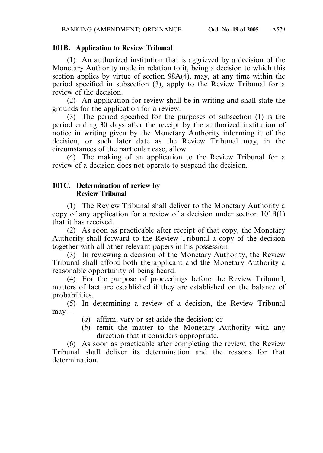# **101B. Application to Review Tribunal**

(1) An authorized institution that is aggrieved by a decision of the Monetary Authority made in relation to it, being a decision to which this section applies by virtue of section 98A(4), may, at any time within the period specified in subsection (3), apply to the Review Tribunal for a review of the decision.

(2) An application for review shall be in writing and shall state the grounds for the application for a review.

(3) The period specified for the purposes of subsection (1) is the period ending 30 days after the receipt by the authorized institution of notice in writing given by the Monetary Authority informing it of the decision, or such later date as the Review Tribunal may, in the circumstances of the particular case, allow.

(4) The making of an application to the Review Tribunal for a review of a decision does not operate to suspend the decision.

# **101C. Determination of review by Review Tribunal**

(1) The Review Tribunal shall deliver to the Monetary Authority a copy of any application for a review of a decision under section 101B(1) that it has received.

(2) As soon as practicable after receipt of that copy, the Monetary Authority shall forward to the Review Tribunal a copy of the decision together with all other relevant papers in his possession.

(3) In reviewing a decision of the Monetary Authority, the Review Tribunal shall afford both the applicant and the Monetary Authority a reasonable opportunity of being heard.

(4) For the purpose of proceedings before the Review Tribunal, matters of fact are established if they are established on the balance of probabilities.

(5) In determining a review of a decision, the Review Tribunal may—

- (*a*) affirm, vary or set aside the decision; or
- (*b*) remit the matter to the Monetary Authority with any direction that it considers appropriate.

(6) As soon as practicable after completing the review, the Review Tribunal shall deliver its determination and the reasons for that determination.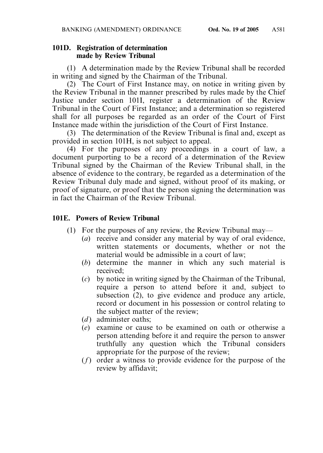### **101D. Registration of determination made by Review Tribunal**

(1) A determination made by the Review Tribunal shall be recorded in writing and signed by the Chairman of the Tribunal.

(2) The Court of First Instance may, on notice in writing given by the Review Tribunal in the manner prescribed by rules made by the Chief Justice under section 101I, register a determination of the Review Tribunal in the Court of First Instance; and a determination so registered shall for all purposes be regarded as an order of the Court of First Instance made within the jurisdiction of the Court of First Instance.

(3) The determination of the Review Tribunal is final and, except as provided in section 101H, is not subject to appeal.

(4) For the purposes of any proceedings in a court of law, a document purporting to be a record of a determination of the Review Tribunal signed by the Chairman of the Review Tribunal shall, in the absence of evidence to the contrary, be regarded as a determination of the Review Tribunal duly made and signed, without proof of its making, or proof of signature, or proof that the person signing the determination was in fact the Chairman of the Review Tribunal.

# **101E. Powers of Review Tribunal**

- (1) For the purposes of any review, the Review Tribunal may—
	- (*a*) receive and consider any material by way of oral evidence, written statements or documents, whether or not the material would be admissible in a court of law;
	- (*b*) determine the manner in which any such material is received;
	- (*c*) by notice in writing signed by the Chairman of the Tribunal, require a person to attend before it and, subject to subsection (2), to give evidence and produce any article, record or document in his possession or control relating to the subject matter of the review;
	- (*d*) administer oaths:
	- (*e*) examine or cause to be examined on oath or otherwise a person attending before it and require the person to answer truthfully any question which the Tribunal considers appropriate for the purpose of the review;
	- (*f*) order a witness to provide evidence for the purpose of the review by affidavit;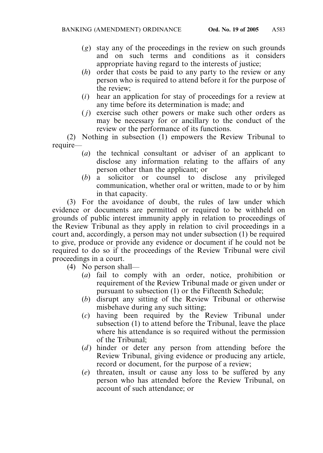- (*g*) stay any of the proceedings in the review on such grounds and on such terms and conditions as it considers appropriate having regard to the interests of justice;
- (*h*) order that costs be paid to any party to the review or any person who is required to attend before it for the purpose of the review;
- (*i*) hear an application for stay of proceedings for a review at any time before its determination is made; and
- ( *j*) exercise such other powers or make such other orders as may be necessary for or ancillary to the conduct of the review or the performance of its functions.

(2) Nothing in subsection (1) empowers the Review Tribunal to require—

- (*a*) the technical consultant or adviser of an applicant to disclose any information relating to the affairs of any person other than the applicant; or
- (*b*) a solicitor or counsel to disclose any privileged communication, whether oral or written, made to or by him in that capacity.

(3) For the avoidance of doubt, the rules of law under which evidence or documents are permitted or required to be withheld on grounds of public interest immunity apply in relation to proceedings of the Review Tribunal as they apply in relation to civil proceedings in a court and, accordingly, a person may not under subsection (1) be required to give, produce or provide any evidence or document if he could not be required to do so if the proceedings of the Review Tribunal were civil proceedings in a court.

(4) No person shall—

- (*a*) fail to comply with an order, notice, prohibition or requirement of the Review Tribunal made or given under or pursuant to subsection (1) or the Fifteenth Schedule;
- (*b*) disrupt any sitting of the Review Tribunal or otherwise misbehave during any such sitting;
- (*c*) having been required by the Review Tribunal under subsection (1) to attend before the Tribunal, leave the place where his attendance is so required without the permission of the Tribunal;
- (*d*) hinder or deter any person from attending before the Review Tribunal, giving evidence or producing any article, record or document, for the purpose of a review;
- (*e*) threaten, insult or cause any loss to be suffered by any person who has attended before the Review Tribunal, on account of such attendance; or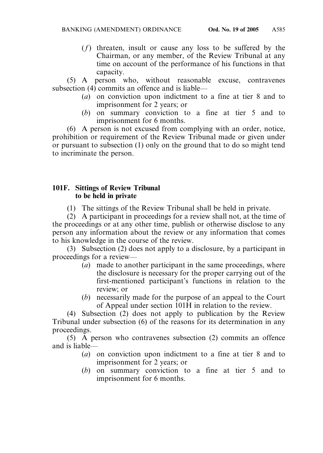(*f*) threaten, insult or cause any loss to be suffered by the Chairman, or any member, of the Review Tribunal at any time on account of the performance of his functions in that capacity.

(5) A person who, without reasonable excuse, contravenes subsection (4) commits an offence and is liable—

- (*a*) on conviction upon indictment to a fine at tier 8 and to imprisonment for 2 years; or
- (*b*) on summary conviction to a fine at tier 5 and to imprisonment for 6 months.

(6) A person is not excused from complying with an order, notice, prohibition or requirement of the Review Tribunal made or given under or pursuant to subsection (1) only on the ground that to do so might tend to incriminate the person.

## **101F. Sittings of Review Tribunal to be held in private**

(1) The sittings of the Review Tribunal shall be held in private.

(2) A participant in proceedings for a review shall not, at the time of the proceedings or at any other time, publish or otherwise disclose to any person any information about the review or any information that comes to his knowledge in the course of the review.

(3) Subsection (2) does not apply to a disclosure, by a participant in proceedings for a review—

- (*a*) made to another participant in the same proceedings, where the disclosure is necessary for the proper carrying out of the first-mentioned participant's functions in relation to the review; or
- (*b*) necessarily made for the purpose of an appeal to the Court of Appeal under section 101H in relation to the review.

(4) Subsection (2) does not apply to publication by the Review Tribunal under subsection (6) of the reasons for its determination in any proceedings.

(5) A person who contravenes subsection (2) commits an offence and is liable—

- (*a*) on conviction upon indictment to a fine at tier 8 and to imprisonment for 2 years; or
- (*b*) on summary conviction to a fine at tier 5 and to imprisonment for 6 months.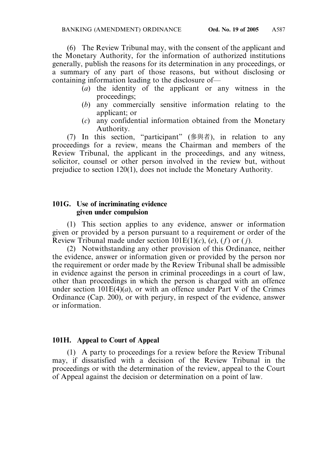(6) The Review Tribunal may, with the consent of the applicant and the Monetary Authority, for the information of authorized institutions generally, publish the reasons for its determination in any proceedings, or a summary of any part of those reasons, but without disclosing or containing information leading to the disclosure of—

- (*a*) the identity of the applicant or any witness in the proceedings;
- (*b*) any commercially sensitive information relating to the applicant; or
- (*c*) any confidential information obtained from the Monetary Authority.

(7) In this section, "participant" (參與者), in relation to any proceedings for a review, means the Chairman and members of the Review Tribunal, the applicant in the proceedings, and any witness, solicitor, counsel or other person involved in the review but, without prejudice to section 120(1), does not include the Monetary Authority.

### **101G. Use of incriminating evidence given under compulsion**

(1) This section applies to any evidence, answer or information given or provided by a person pursuant to a requirement or order of the Review Tribunal made under section  $101E(1)(c)$ ,  $(e)$ ,  $(f)$  or  $(j)$ .

(2) Notwithstanding any other provision of this Ordinance, neither the evidence, answer or information given or provided by the person nor the requirement or order made by the Review Tribunal shall be admissible in evidence against the person in criminal proceedings in a court of law, other than proceedings in which the person is charged with an offence under section  $101E(4)(a)$ , or with an offence under Part V of the Crimes Ordinance (Cap. 200), or with perjury, in respect of the evidence, answer or information.

# **101H. Appeal to Court of Appeal**

(1) A party to proceedings for a review before the Review Tribunal may, if dissatisfied with a decision of the Review Tribunal in the proceedings or with the determination of the review, appeal to the Court of Appeal against the decision or determination on a point of law.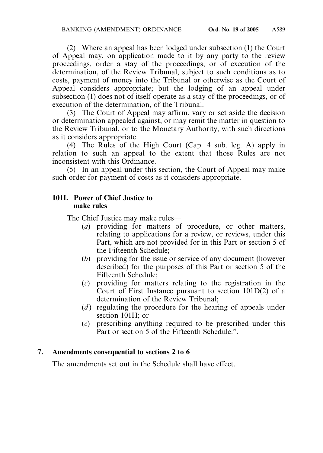(2) Where an appeal has been lodged under subsection (1) the Court of Appeal may, on application made to it by any party to the review proceedings, order a stay of the proceedings, or of execution of the determination, of the Review Tribunal, subject to such conditions as to costs, payment of money into the Tribunal or otherwise as the Court of Appeal considers appropriate; but the lodging of an appeal under subsection (1) does not of itself operate as a stay of the proceedings, or of execution of the determination, of the Tribunal.

(3) The Court of Appeal may affirm, vary or set aside the decision or determination appealed against, or may remit the matter in question to the Review Tribunal, or to the Monetary Authority, with such directions as it considers appropriate.

(4) The Rules of the High Court (Cap. 4 sub. leg. A) apply in relation to such an appeal to the extent that those Rules are not inconsistent with this Ordinance.

(5) In an appeal under this section, the Court of Appeal may make such order for payment of costs as it considers appropriate.

# **101I. Power of Chief Justice to make rules**

The Chief Justice may make rules—

- (*a*) providing for matters of procedure, or other matters, relating to applications for a review, or reviews, under this Part, which are not provided for in this Part or section 5 of the Fifteenth Schedule;
- (*b*) providing for the issue or service of any document (however described) for the purposes of this Part or section 5 of the Fifteenth Schedule;
- (*c*) providing for matters relating to the registration in the Court of First Instance pursuant to section 101D(2) of a determination of the Review Tribunal;
- (*d*) regulating the procedure for the hearing of appeals under section 101H; or
- (*e*) prescribing anything required to be prescribed under this Part or section 5 of the Fifteenth Schedule."

# **7. Amendments consequential to sections 2 to 6**

The amendments set out in the Schedule shall have effect.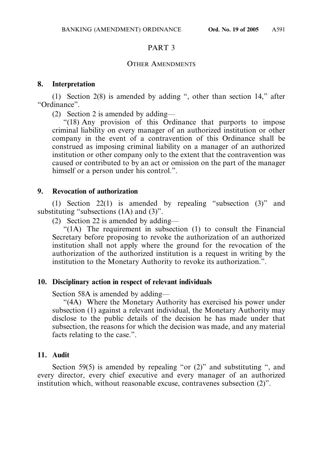# PART 3

### OTHER AMENDMENTS

### **8. Interpretation**

(1) Section 2(8) is amended by adding ", other than section 14," after "Ordinance".

(2) Section 2 is amended by adding—

"(18) Any provision of this Ordinance that purports to impose criminal liability on every manager of an authorized institution or other company in the event of a contravention of this Ordinance shall be construed as imposing criminal liability on a manager of an authorized institution or other company only to the extent that the contravention was caused or contributed to by an act or omission on the part of the manager himself or a person under his control.".

### **9. Revocation of authorization**

(1) Section 22(1) is amended by repealing "subsection (3)" and substituting "subsections (1A) and (3)".

(2) Section 22 is amended by adding—

"(1A) The requirement in subsection (1) to consult the Financial Secretary before proposing to revoke the authorization of an authorized institution shall not apply where the ground for the revocation of the authorization of the authorized institution is a request in writing by the institution to the Monetary Authority to revoke its authorization.".

### **10. Disciplinary action in respect of relevant individuals**

Section 58A is amended by adding—

"(4A) Where the Monetary Authority has exercised his power under subsection (1) against a relevant individual, the Monetary Authority may disclose to the public details of the decision he has made under that subsection, the reasons for which the decision was made, and any material facts relating to the case.".

### **11. Audit**

Section 59(5) is amended by repealing "or (2)" and substituting ", and every director, every chief executive and every manager of an authorized institution which, without reasonable excuse, contravenes subsection (2)".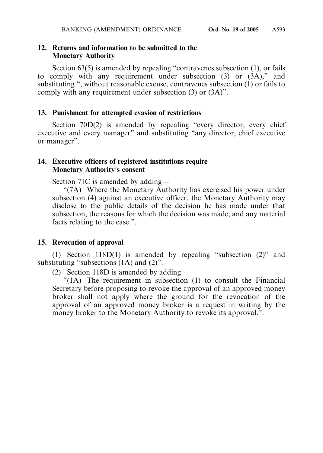# **12. Returns and information to be submitted to the Monetary Authority**

Section 63(5) is amended by repealing "contravenes subsection (1), or fails to comply with any requirement under subsection (3) or (3A)," and substituting ", without reasonable excuse, contravenes subsection (1) or fails to comply with any requirement under subsection (3) or (3A)".

# **13. Punishment for attempted evasion of restrictions**

Section 70D(2) is amended by repealing "every director, every chief executive and every manager" and substituting "any director, chief executive or manager".

### **14. Executive officers of registered institutions require Monetary Authority**'**s consent**

Section 71C is amended by adding—

"(7A) Where the Monetary Authority has exercised his power under subsection (4) against an executive officer, the Monetary Authority may disclose to the public details of the decision he has made under that subsection, the reasons for which the decision was made, and any material facts relating to the case.".

# **15. Revocation of approval**

(1) Section 118D(1) is amended by repealing "subsection (2)" and substituting "subsections (1A) and (2)".

(2) Section 118D is amended by adding—

"(1A) The requirement in subsection (1) to consult the Financial Secretary before proposing to revoke the approval of an approved money broker shall not apply where the ground for the revocation of the approval of an approved money broker is a request in writing by the money broker to the Monetary Authority to revoke its approval.".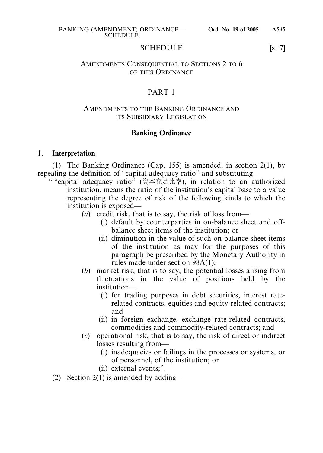#### SCHEDULE [s. 7]

### AMENDMENTS CONSEQUENTIAL TO SECTIONS 2 TO 6 OF THIS ORDINANCE

# PART 1

### AMENDMENTS TO THE BANKING ORDINANCE AND ITS SUBSIDIARY LEGISLATION

## **Banking Ordinance**

#### 1. **Interpretation**

(1) The Banking Ordinance (Cap. 155) is amended, in section 2(1), by repealing the definition of "capital adequacy ratio" and substituting—

" "capital adequacy ratio" (資本充足比率), in relation to an authorized institution, means the ratio of the institution's capital base to a value representing the degree of risk of the following kinds to which the institution is exposed—

- (*a*) credit risk, that is to say, the risk of loss from—
	- (i) default by counterparties in on-balance sheet and offbalance sheet items of the institution; or
	- (ii) diminution in the value of such on-balance sheet items of the institution as may for the purposes of this paragraph be prescribed by the Monetary Authority in rules made under section 98A(1);
- (*b*) market risk, that is to say, the potential losses arising from fluctuations in the value of positions held by the institution—
	- (i) for trading purposes in debt securities, interest raterelated contracts, equities and equity-related contracts; and
	- (ii) in foreign exchange, exchange rate-related contracts, commodities and commodity-related contracts; and
- (*c*) operational risk, that is to say, the risk of direct or indirect losses resulting from—
	- (i) inadequacies or failings in the processes or systems, or of personnel, of the institution; or
	- (ii) external events;".
- (2) Section 2(1) is amended by adding—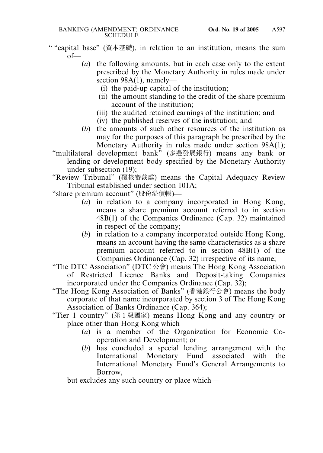- " "capital base" (資本基礎), in relation to an institution, means the sum of—
	- (*a*) the following amounts, but in each case only to the extent prescribed by the Monetary Authority in rules made under section 98A(1), namely—
		- (i) the paid-up capital of the institution;
		- (ii) the amount standing to the credit of the share premium account of the institution;
		- (iii) the audited retained earnings of the institution; and
		- (iv) the published reserves of the institution; and
	- (*b*) the amounts of such other resources of the institution as may for the purposes of this paragraph be prescribed by the Monetary Authority in rules made under section 98A(1);
	- "multilateral development bank" (多邊發展銀行) means any bank or lending or development body specified by the Monetary Authority under subsection (19);
	- "Review Tribunal" (覆核審裁處) means the Capital Adequacy Review Tribunal established under section 101A;
	- "share premium account" (股份溢價帳)—
		- (*a*) in relation to a company incorporated in Hong Kong, means a share premium account referred to in section 48B(1) of the Companies Ordinance (Cap. 32) maintained in respect of the company;
		- (*b*) in relation to a company incorporated outside Hong Kong, means an account having the same characteristics as a share premium account referred to in section 48B(1) of the Companies Ordinance (Cap. 32) irrespective of its name;
	- "The DTC Association" (DTC  $\triangle \hat{\mathbb{F}}$ ) means The Hong Kong Association of Restricted Licence Banks and Deposit-taking Companies incorporated under the Companies Ordinance (Cap. 32);
	- "The Hong Kong Association of Banks" (香港銀行公會) means the body corporate of that name incorporated by section 3 of The Hong Kong Association of Banks Ordinance (Cap. 364);
	- "Tier 1 country" (第 1 級國家) means Hong Kong and any country or place other than Hong Kong which—
		- (*a*) is a member of the Organization for Economic Cooperation and Development; or
		- (*b*) has concluded a special lending arrangement with the International Monetary Fund associated with the International Monetary Fund's General Arrangements to Borrow,

but excludes any such country or place which—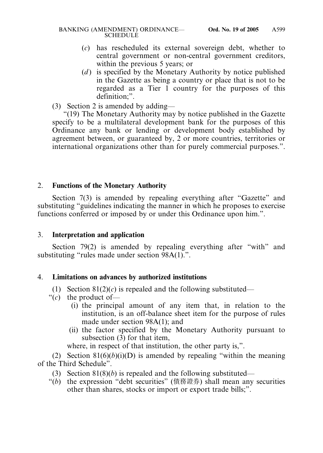- (*c*) has rescheduled its external sovereign debt, whether to central government or non-central government creditors, within the previous 5 years; or
- (*d*) is specified by the Monetary Authority by notice published in the Gazette as being a country or place that is not to be regarded as a Tier 1 country for the purposes of this definition;".
- (3) Section 2 is amended by adding—

"(19) The Monetary Authority may by notice published in the Gazette specify to be a multilateral development bank for the purposes of this Ordinance any bank or lending or development body established by agreement between, or guaranteed by, 2 or more countries, territories or international organizations other than for purely commercial purposes.".

# 2. **Functions of the Monetary Authority**

Section 7(3) is amended by repealing everything after "Gazette" and substituting "guidelines indicating the manner in which he proposes to exercise functions conferred or imposed by or under this Ordinance upon him.".

### 3. **Interpretation and application**

Section 79(2) is amended by repealing everything after "with" and substituting "rules made under section 98A(1).".

### 4. **Limitations on advances by authorized institutions**

- (1) Section  $81(2)(c)$  is repealed and the following substituted—
- $\hat{c}$  the product of—
	- (i) the principal amount of any item that, in relation to the institution, is an off-balance sheet item for the purpose of rules made under section 98A(1); and
	- (ii) the factor specified by the Monetary Authority pursuant to subsection (3) for that item,

where, in respect of that institution, the other party is,".

(2) Section  $81(6)(b)(i)(D)$  is amended by repealing "within the meaning" of the Third Schedule".

- (3) Section 81(8)(*b*) is repealed and the following substituted—
- "(*b*) the expression "debt securities" (債務證券) shall mean any securities other than shares, stocks or import or export trade bills;".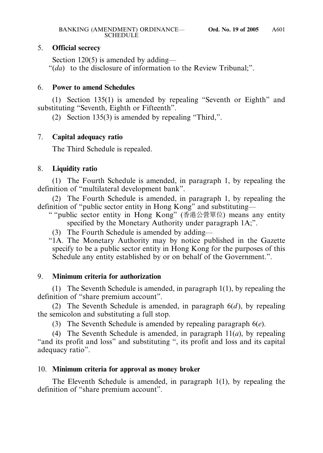# 5. **Official secrecy**

Section 120(5) is amended by adding— "(*da*) to the disclosure of information to the Review Tribunal;".

# 6. **Power to amend Schedules**

(1) Section 135(1) is amended by repealing "Seventh or Eighth" and substituting "Seventh, Eighth or Fifteenth".

(2) Section 135(3) is amended by repealing "Third,".

## 7. **Capital adequacy ratio**

The Third Schedule is repealed.

## 8. **Liquidity ratio**

(1) The Fourth Schedule is amended, in paragraph 1, by repealing the definition of "multilateral development bank".

(2) The Fourth Schedule is amended, in paragraph 1, by repealing the definition of "public sector entity in Hong Kong" and substituting—

- " "public sector entity in Hong Kong" (香港公營單位) means any entity specified by the Monetary Authority under paragraph 1A;".
	- (3) The Fourth Schedule is amended by adding—

"1A. The Monetary Authority may by notice published in the Gazette specify to be a public sector entity in Hong Kong for the purposes of this Schedule any entity established by or on behalf of the Government.".

### 9. **Minimum criteria for authorization**

(1) The Seventh Schedule is amended, in paragraph 1(1), by repealing the definition of "share premium account".

(2) The Seventh Schedule is amended, in paragraph 6(*d* ), by repealing the semicolon and substituting a full stop.

(3) The Seventh Schedule is amended by repealing paragraph 6(*e*).

(4) The Seventh Schedule is amended, in paragraph 11(*a*), by repealing "and its profit and loss" and substituting ", its profit and loss and its capital adequacy ratio".

### 10. **Minimum criteria for approval as money broker**

The Eleventh Schedule is amended, in paragraph 1(1), by repealing the definition of "share premium account".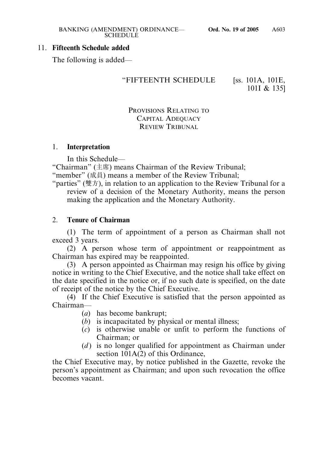## 11. **Fifteenth Schedule added**

The following is added—

# "FIFTEENTH SCHEDULE [ss. 101A, 101E,

101I & 135]

# PROVISIONS RELATING TO CAPITAL ADEQUACY REVIEW TRIBUNAL

## 1. **Interpretation**

In this Schedule—

"Chairman" (主席) means Chairman of the Review Tribunal;

- "member" (成員) means a member of the Review Tribunal;
- "parties" (雙方), in relation to an application to the Review Tribunal for a review of a decision of the Monetary Authority, means the person making the application and the Monetary Authority.

# 2. **Tenure of Chairman**

(1) The term of appointment of a person as Chairman shall not exceed 3 years.

(2) A person whose term of appointment or reappointment as Chairman has expired may be reappointed.

(3) A person appointed as Chairman may resign his office by giving notice in writing to the Chief Executive, and the notice shall take effect on the date specified in the notice or, if no such date is specified, on the date of receipt of the notice by the Chief Executive.

(4) If the Chief Executive is satisfied that the person appointed as Chairman—

- (*a*) has become bankrupt;
- (*b*) is incapacitated by physical or mental illness;
- (*c*) is otherwise unable or unfit to perform the functions of Chairman; or
- (*d*) is no longer qualified for appointment as Chairman under section 101A(2) of this Ordinance,

the Chief Executive may, by notice published in the Gazette, revoke the person's appointment as Chairman; and upon such revocation the office becomes vacant.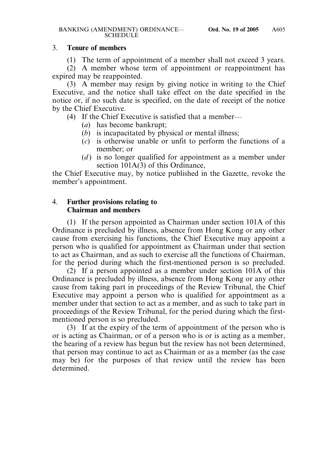### 3. **Tenure of members**

(1) The term of appointment of a member shall not exceed 3 years.

(2) A member whose term of appointment or reappointment has expired may be reappointed.

(3) A member may resign by giving notice in writing to the Chief Executive, and the notice shall take effect on the date specified in the notice or, if no such date is specified, on the date of receipt of the notice by the Chief Executive.

(4) If the Chief Executive is satisfied that a member—

- (*a*) has become bankrupt;
- (*b*) is incapacitated by physical or mental illness;
- (*c*) is otherwise unable or unfit to perform the functions of a member; or
- (*d*) is no longer qualified for appointment as a member under section 101A(3) of this Ordinance,

the Chief Executive may, by notice published in the Gazette, revoke the member's appointment.

# 4. **Further provisions relating to Chairman and members**

(1) If the person appointed as Chairman under section 101A of this Ordinance is precluded by illness, absence from Hong Kong or any other cause from exercising his functions, the Chief Executive may appoint a person who is qualified for appointment as Chairman under that section to act as Chairman, and as such to exercise all the functions of Chairman, for the period during which the first-mentioned person is so precluded.

(2) If a person appointed as a member under section 101A of this Ordinance is precluded by illness, absence from Hong Kong or any other cause from taking part in proceedings of the Review Tribunal, the Chief Executive may appoint a person who is qualified for appointment as a member under that section to act as a member, and as such to take part in proceedings of the Review Tribunal, for the period during which the firstmentioned person is so precluded.

(3) If at the expiry of the term of appointment of the person who is or is acting as Chairman, or of a person who is or is acting as a member, the hearing of a review has begun but the review has not been determined, that person may continue to act as Chairman or as a member (as the case may be) for the purposes of that review until the review has been determined.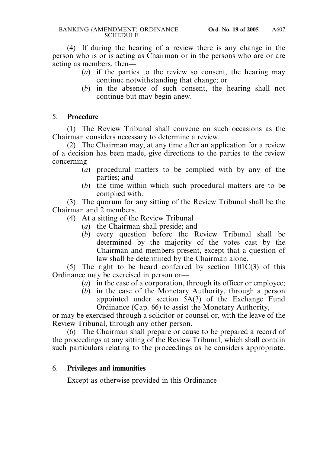(4) If during the hearing of a review there is any change in the person who is or is acting as Chairman or in the persons who are or are acting as members, then—

- (*a*) if the parties to the review so consent, the hearing may continue notwithstanding that change; or
- (*b*) in the absence of such consent, the hearing shall not continue but may begin anew.

# 5. **Procedure**

(1) The Review Tribunal shall convene on such occasions as the Chairman considers necessary to determine a review.

(2) The Chairman may, at any time after an application for a review of a decision has been made, give directions to the parties to the review concerning—

- (*a*) procedural matters to be complied with by any of the parties; and
- (*b*) the time within which such procedural matters are to be complied with.

(3) The quorum for any sitting of the Review Tribunal shall be the Chairman and 2 members.

- (4) At a sitting of the Review Tribunal—
	- (*a*) the Chairman shall preside; and
	- (*b*) every question before the Review Tribunal shall be determined by the majority of the votes cast by the Chairman and members present, except that a question of law shall be determined by the Chairman alone.

(5) The right to be heard conferred by section  $101C(3)$  of this Ordinance may be exercised in person or—

- (*a*) in the case of a corporation, through its officer or employee;
- (*b*) in the case of the Monetary Authority, through a person appointed under section 5A(3) of the Exchange Fund Ordinance (Cap. 66) to assist the Monetary Authority,

or may be exercised through a solicitor or counsel or, with the leave of the Review Tribunal, through any other person.

(6) The Chairman shall prepare or cause to be prepared a record of the proceedings at any sitting of the Review Tribunal, which shall contain such particulars relating to the proceedings as he considers appropriate.

# 6. **Privileges and immunities**

Except as otherwise provided in this Ordinance—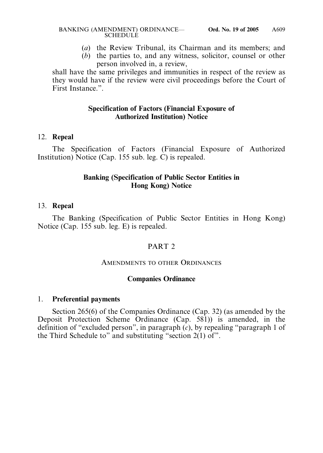#### BANKING (AMENDMENT) ORDINANCE— **Ord. No. 19 of 2005 SCHEDULE**

- (*a*) the Review Tribunal, its Chairman and its members; and
- (*b*) the parties to, and any witness, solicitor, counsel or other person involved in, a review,

shall have the same privileges and immunities in respect of the review as they would have if the review were civil proceedings before the Court of First Instance.".

# **Specification of Factors (Financial Exposure of Authorized Institution) Notice**

## 12. **Repeal**

The Specification of Factors (Financial Exposure of Authorized Institution) Notice (Cap. 155 sub. leg. C) is repealed.

## **Banking (Specification of Public Sector Entities in Hong Kong) Notice**

### 13. **Repeal**

The Banking (Specification of Public Sector Entities in Hong Kong) Notice (Cap. 155 sub. leg. E) is repealed.

# PART<sub>2</sub>

### AMENDMENTS TO OTHER ORDINANCES

### **Companies Ordinance**

### 1. **Preferential payments**

Section 265(6) of the Companies Ordinance (Cap. 32) (as amended by the Deposit Protection Scheme Ordinance (Cap. 581)) is amended, in the definition of "excluded person", in paragraph (*c*), by repealing "paragraph 1 of the Third Schedule to" and substituting "section 2(1) of".